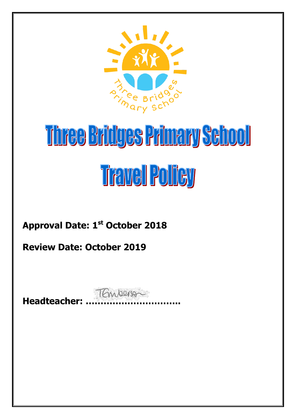

## Three Bridges Primary School **Travel Policy**

## **Approval Date: 1 st October 2018**

**Review Date: October 2019**

**Headteacher: …………………………..**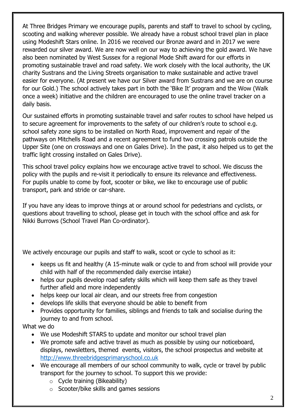At Three Bridges Primary we encourage pupils, parents and staff to travel to school by cycling, scooting and walking wherever possible. We already have a robust school travel plan in place using Modeshift Stars online. In 2016 we received our Bronze award and in 2017 we were rewarded our silver award. We are now well on our way to achieving the gold award. We have also been nominated by West Sussex for a regional Mode Shift award for our efforts in promoting sustainable travel and road safety. We work closely with the local authority, the UK charity Sustrans and the Living Streets organisation to make sustainable and active travel easier for everyone. (At present we have our Silver award from Sustrans and we are on course for our Gold.) The school actively takes part in both the 'Bike It' program and the Wow (Walk once a week) initiative and the children are encouraged to use the online travel tracker on a daily basis.

Our sustained efforts in promoting sustainable travel and safer routes to school have helped us to secure agreement for improvements to the safety of our children's route to school e.g. school safety zone signs to be installed on North Road, improvement and repair of the pathways on Mitchells Road and a recent agreement to fund two crossing patrols outside the Upper Site (one on crossways and one on Gales Drive). In the past, it also helped us to get the traffic light crossing installed on Gales Drive).

This school travel policy explains how we encourage active travel to school. We discuss the policy with the pupils and re-visit it periodically to ensure its relevance and effectiveness. For pupils unable to come by foot, scooter or bike, we like to encourage use of public transport, park and stride or car-share.

If you have any ideas to improve things at or around school for pedestrians and cyclists, or questions about travelling to school, please get in touch with the school office and ask for Nikki Burrows (School Travel Plan Co-ordinator).

We actively encourage our pupils and staff to walk, scoot or cycle to school as it:

- keeps us fit and healthy (A 15-minute walk or cycle to and from school will provide your child with half of the recommended daily exercise intake)
- helps our pupils develop road safety skills which will keep them safe as they travel further afield and more independently
- helps keep our local air clean, and our streets free from congestion
- develops life skills that everyone should be able to benefit from
- Provides opportunity for families, siblings and friends to talk and socialise during the journey to and from school.

## What we do

- We use Modeshift STARS to update and monitor our school travel plan
- We promote safe and active travel as much as possible by using our noticeboard, displays, newsletters, themed events, visitors, the school prospectus and website at [http://www.threebridgesprimaryschool.co.uk](http://www.threebridgesprimaryschool.co.uk/)
- We encourage all members of our school community to walk, cycle or travel by public transport for the journey to school. To support this we provide:
	- $\circ$  Cycle training (Bikeability)
	- o Scooter/bike skills and games sessions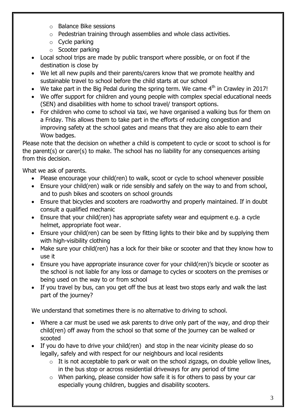- o Balance Bike sessions
- o Pedestrian training through assemblies and whole class activities.
- o Cycle parking
- o Scooter parking
- Local school trips are made by public transport where possible, or on foot if the destination is close by
- We let all new pupils and their parents/carers know that we promote healthy and sustainable travel to school before the child starts at our school
- $\bullet$  We take part in the Big Pedal during the spring term. We came  $4<sup>th</sup>$  in Crawley in 2017!
- We offer support for children and young people with complex special educational needs (SEN) and disabilities with home to school travel/ transport options.
- For children who come to school via taxi, we have organised a walking bus for them on a Friday. This allows them to take part in the efforts of reducing congestion and improving safety at the school gates and means that they are also able to earn their Wow badges.

Please note that the decision on whether a child is competent to cycle or scoot to school is for the parent(s) or carer(s) to make. The school has no liability for any consequences arising from this decision.

What we ask of parents.

- Please encourage your child(ren) to walk, scoot or cycle to school whenever possible
- Ensure your child(ren) walk or ride sensibly and safely on the way to and from school, and to push bikes and scooters on school grounds
- Ensure that bicycles and scooters are roadworthy and properly maintained. If in doubt consult a qualified mechanic
- Ensure that your child(ren) has appropriate safety wear and equipment e.g. a cycle helmet, appropriate foot wear.
- Ensure your child(ren) can be seen by fitting lights to their bike and by supplying them with high-visibility clothing
- Make sure your child(ren) has a lock for their bike or scooter and that they know how to use it
- Ensure you have appropriate insurance cover for your child(ren)'s bicycle or scooter as the school is not liable for any loss or damage to cycles or scooters on the premises or being used on the way to or from school
- If you travel by bus, can you get off the bus at least two stops early and walk the last part of the journey?

We understand that sometimes there is no alternative to driving to school.

- Where a car must be used we ask parents to drive only part of the way, and drop their child(ren) off away from the school so that some of the journey can be walked or scooted
- If you do have to drive your child(ren) and stop in the near vicinity please do so legally, safely and with respect for our neighbours and local residents
	- $\circ$  It is not acceptable to park or wait on the school zigzags, on double yellow lines, in the bus stop or across residential driveways for any period of time
	- o When parking, please consider how safe it is for others to pass by your car especially young children, buggies and disability scooters.